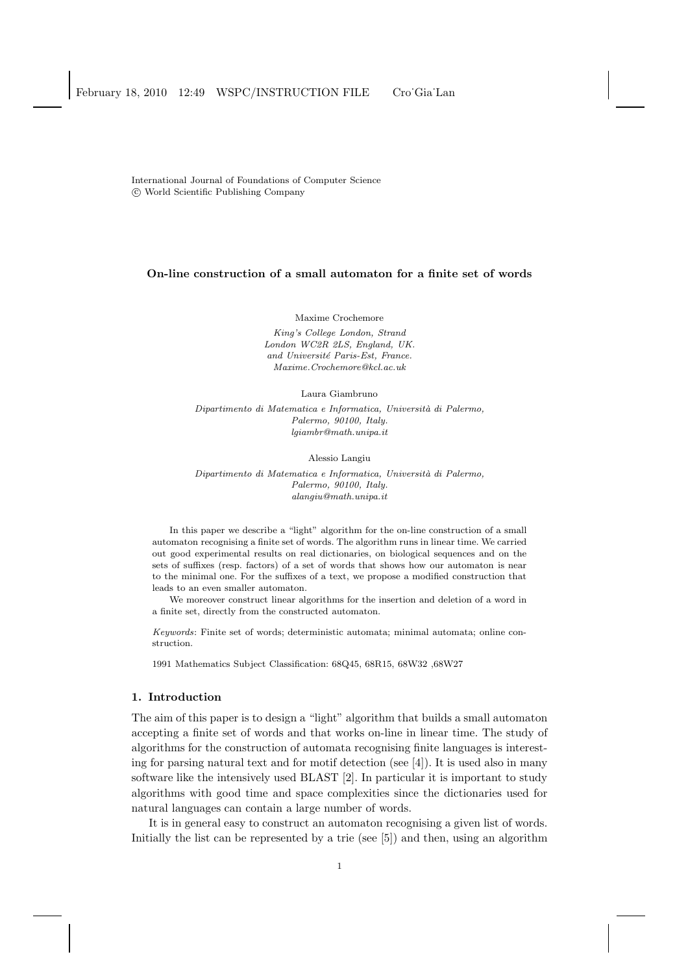International Journal of Foundations of Computer Science c World Scientific Publishing Company

## On-line construction of a small automaton for a finite set of words

Maxime Crochemore

King's College London, Strand London WC2R 2LS, England, UK. and Université Paris-Est, France. Maxime.Crochemore@kcl.ac.uk

Laura Giambruno

Dipartimento di Matematica e Informatica, Università di Palermo, Palermo, 90100, Italy. lgiambr@math.unipa.it

Alessio Langiu

Dipartimento di Matematica e Informatica, Università di Palermo, Palermo, 90100, Italy. alangiu@math.unipa.it

In this paper we describe a "light" algorithm for the on-line construction of a small automaton recognising a finite set of words. The algorithm runs in linear time. We carried out good experimental results on real dictionaries, on biological sequences and on the sets of suffixes (resp. factors) of a set of words that shows how our automaton is near to the minimal one. For the suffixes of a text, we propose a modified construction that leads to an even smaller automaton.

We moreover construct linear algorithms for the insertion and deletion of a word in a finite set, directly from the constructed automaton.

Keywords: Finite set of words; deterministic automata; minimal automata; online construction.

1991 Mathematics Subject Classification: 68Q45, 68R15, 68W32 ,68W27

## 1. Introduction

The aim of this paper is to design a "light" algorithm that builds a small automaton accepting a finite set of words and that works on-line in linear time. The study of algorithms for the construction of automata recognising finite languages is interesting for parsing natural text and for motif detection (see [4]). It is used also in many software like the intensively used BLAST [2]. In particular it is important to study algorithms with good time and space complexities since the dictionaries used for natural languages can contain a large number of words.

It is in general easy to construct an automaton recognising a given list of words. Initially the list can be represented by a trie (see [5]) and then, using an algorithm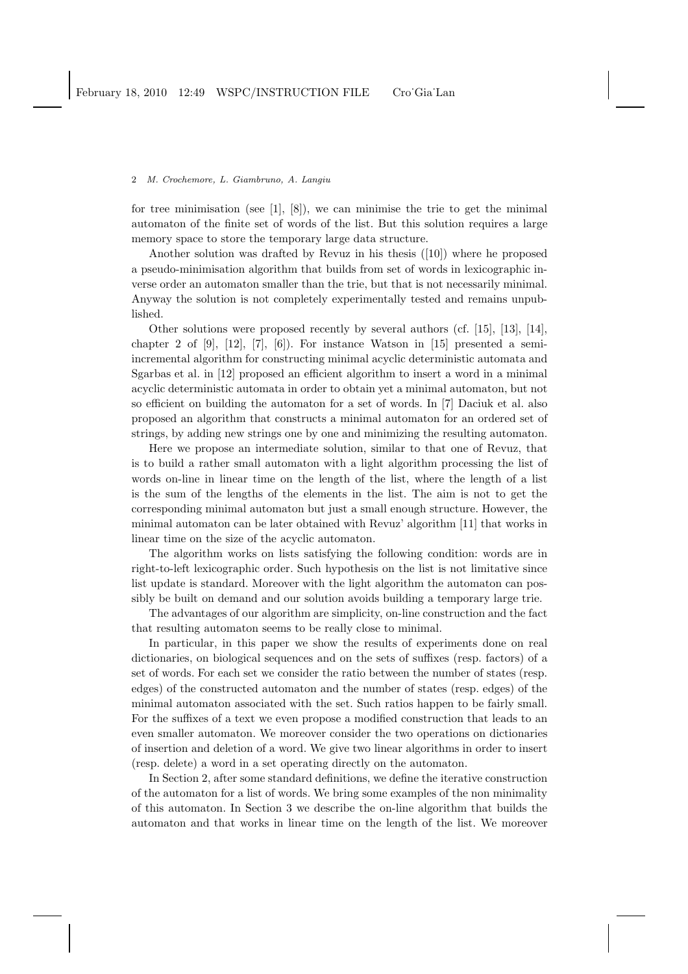for tree minimisation (see  $[1]$ ,  $[8]$ ), we can minimise the trie to get the minimal automaton of the finite set of words of the list. But this solution requires a large memory space to store the temporary large data structure.

Another solution was drafted by Revuz in his thesis ([10]) where he proposed a pseudo-minimisation algorithm that builds from set of words in lexicographic inverse order an automaton smaller than the trie, but that is not necessarily minimal. Anyway the solution is not completely experimentally tested and remains unpublished.

Other solutions were proposed recently by several authors (cf. [15], [13], [14], chapter 2 of  $[9]$ ,  $[12]$ ,  $[7]$ ,  $[6]$ ). For instance Watson in  $[15]$  presented a semiincremental algorithm for constructing minimal acyclic deterministic automata and Sgarbas et al. in [12] proposed an efficient algorithm to insert a word in a minimal acyclic deterministic automata in order to obtain yet a minimal automaton, but not so efficient on building the automaton for a set of words. In [7] Daciuk et al. also proposed an algorithm that constructs a minimal automaton for an ordered set of strings, by adding new strings one by one and minimizing the resulting automaton.

Here we propose an intermediate solution, similar to that one of Revuz, that is to build a rather small automaton with a light algorithm processing the list of words on-line in linear time on the length of the list, where the length of a list is the sum of the lengths of the elements in the list. The aim is not to get the corresponding minimal automaton but just a small enough structure. However, the minimal automaton can be later obtained with Revuz' algorithm [11] that works in linear time on the size of the acyclic automaton.

The algorithm works on lists satisfying the following condition: words are in right-to-left lexicographic order. Such hypothesis on the list is not limitative since list update is standard. Moreover with the light algorithm the automaton can possibly be built on demand and our solution avoids building a temporary large trie.

The advantages of our algorithm are simplicity, on-line construction and the fact that resulting automaton seems to be really close to minimal.

In particular, in this paper we show the results of experiments done on real dictionaries, on biological sequences and on the sets of suffixes (resp. factors) of a set of words. For each set we consider the ratio between the number of states (resp. edges) of the constructed automaton and the number of states (resp. edges) of the minimal automaton associated with the set. Such ratios happen to be fairly small. For the suffixes of a text we even propose a modified construction that leads to an even smaller automaton. We moreover consider the two operations on dictionaries of insertion and deletion of a word. We give two linear algorithms in order to insert (resp. delete) a word in a set operating directly on the automaton.

In Section 2, after some standard definitions, we define the iterative construction of the automaton for a list of words. We bring some examples of the non minimality of this automaton. In Section 3 we describe the on-line algorithm that builds the automaton and that works in linear time on the length of the list. We moreover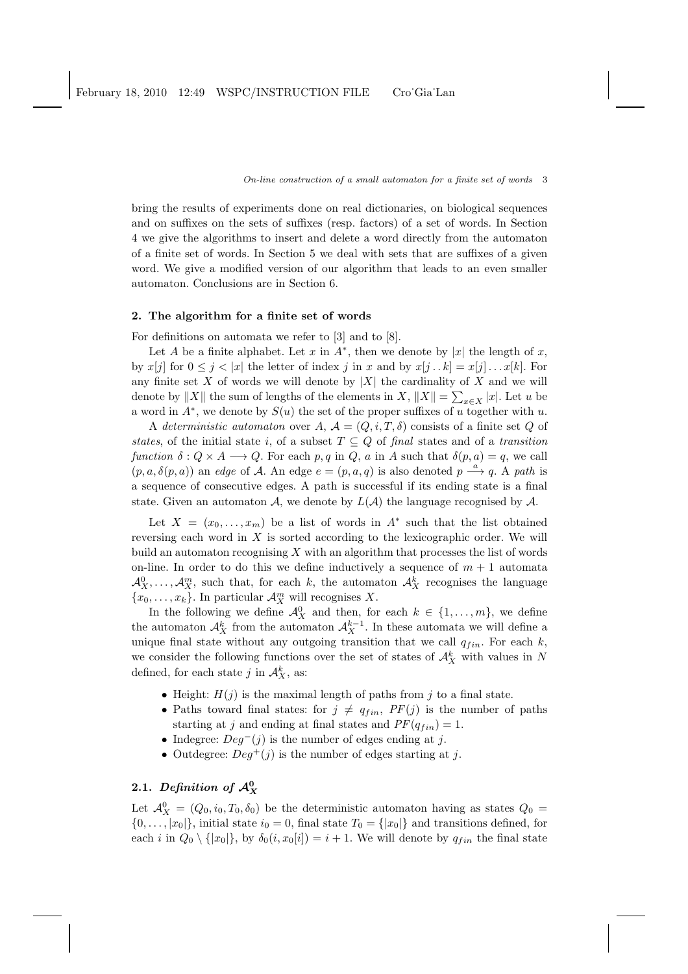bring the results of experiments done on real dictionaries, on biological sequences and on suffixes on the sets of suffixes (resp. factors) of a set of words. In Section 4 we give the algorithms to insert and delete a word directly from the automaton of a finite set of words. In Section 5 we deal with sets that are suffixes of a given word. We give a modified version of our algorithm that leads to an even smaller automaton. Conclusions are in Section 6.

## 2. The algorithm for a finite set of words

For definitions on automata we refer to [3] and to [8].

Let A be a finite alphabet. Let x in  $A^*$ , then we denote by |x| the length of x, by  $x[i]$  for  $0 \leq i \leq |x|$  the letter of index j in x and by  $x[i...k] = x[i] \dots x[k]$ . For any finite set X of words we will denote by  $|X|$  the cardinality of X and we will denote by  $||X||$  the sum of lengths of the elements in  $X$ ,  $||X|| = \sum_{x \in X} |x|$ . Let u be a word in  $A^*$ , we denote by  $S(u)$  the set of the proper suffixes of u together with u.

A *deterministic automaton* over A,  $\mathcal{A} = (Q, i, T, \delta)$  consists of a finite set Q of *states*, of the initial state i, of a subset  $T \subseteq Q$  of *final* states and of a *transition function*  $\delta: Q \times A \longrightarrow Q$ . For each p, q in Q, a in A such that  $\delta(p, a) = q$ , we call  $(p, a, \delta(p, a))$  an *edge* of A. An edge  $e = (p, a, q)$  is also denoted  $p \stackrel{a}{\longrightarrow} q$ . A *path* is a sequence of consecutive edges. A path is successful if its ending state is a final state. Given an automaton A, we denote by  $L(\mathcal{A})$  the language recognised by A.

Let  $X = (x_0, \ldots, x_m)$  be a list of words in  $A^*$  such that the list obtained reversing each word in  $X$  is sorted according to the lexicographic order. We will build an automaton recognising  $X$  with an algorithm that processes the list of words on-line. In order to do this we define inductively a sequence of  $m + 1$  automata  $\mathcal{A}_X^0, \ldots, \mathcal{A}_X^m$ , such that, for each k, the automaton  $\mathcal{A}_X^k$  recognises the language  ${x_0, \ldots, x_k}$ . In particular  $\mathcal{A}_X^m$  will recognises X.

In the following we define  $\mathcal{A}_{X}^{0}$  and then, for each  $k \in \{1, ..., m\}$ , we define the automaton  $\mathcal{A}_{X}^{k}$  from the automaton  $\mathcal{A}_{X}^{k-1}$ . In these automata we will define a unique final state without any outgoing transition that we call  $q_{fin}$ . For each k, we consider the following functions over the set of states of  $\mathcal{A}_{X}^{k}$  with values in N defined, for each state j in  $\mathcal{A}_{X}^{k}$ , as:

- Height:  $H(j)$  is the maximal length of paths from j to a final state.
- Paths toward final states: for  $j \neq q_{fin}$ ,  $PF(j)$  is the number of paths starting at j and ending at final states and  $PF(q_{fin}) = 1$ .
- Indegree:  $Deg^{-}(j)$  is the number of edges ending at j.
- Outdegree:  $Deg^+(j)$  is the number of edges starting at j.

# 2.1. Definition of  $\mathcal{A}_{X}^{0}$

Let  $\mathcal{A}_{X}^{0} = (Q_0, i_0, T_0, \delta_0)$  be the deterministic automaton having as states  $Q_0 =$  $\{0,\ldots,|x_0|\}$ , initial state  $i_0=0$ , final state  $T_0=\{|x_0|\}$  and transitions defined, for each i in  $Q_0 \setminus \{|x_0|\}$ , by  $\delta_0(i, x_0[i]) = i + 1$ . We will denote by  $q_{fin}$  the final state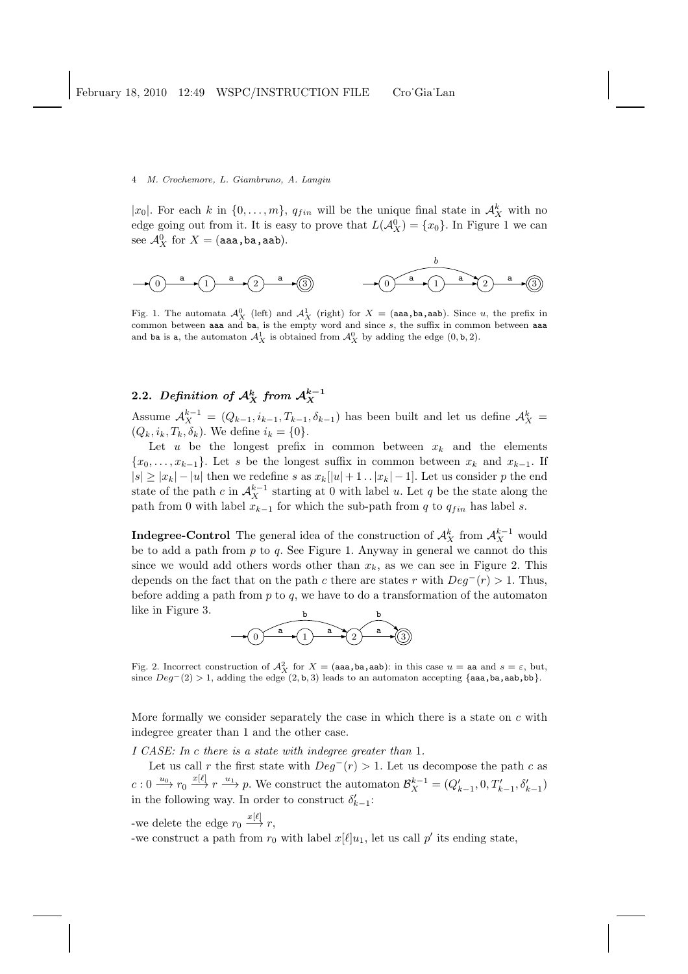|x<sub>0</sub>|. For each k in  $\{0, \ldots, m\}$ ,  $q_{fin}$  will be the unique final state in  $\mathcal{A}_{X}^{k}$  with no edge going out from it. It is easy to prove that  $L(\mathcal{A}_{X}^{0}) = \{x_0\}$ . In Figure 1 we can see  $\mathcal{A}_X^0$  for  $X=(\texttt{aaa},\texttt{ba},\texttt{aab}).$ 



Fig. 1. The automata  $\mathcal{A}_{X}^{0}$  (left) and  $\mathcal{A}_{X}^{1}$  (right) for  $X = (aaa,ba,aab)$ . Since u, the prefix in common between aaa and ba, is the empty word and since  $s$ , the suffix in common between aaa and ba is a, the automaton  $\mathcal{A}_{X}^{1}$  is obtained from  $\mathcal{A}_{X}^{0}$  by adding the edge  $(0, \mathbf{b}, 2)$ .

# 2.2. Definition of  ${\cal A}_X^k$  from  ${\cal A}_X^{k-1}$

Assume  $\mathcal{A}_{X}^{k-1} = (Q_{k-1}, i_{k-1}, T_{k-1}, \delta_{k-1})$  has been built and let us define  $\mathcal{A}_{X}^{k} =$  $(Q_k, i_k, T_k, \delta_k)$ . We define  $i_k = \{0\}.$ 

Let  $u$  be the longest prefix in common between  $x_k$  and the elements  ${x_0, \ldots, x_{k-1}}$ . Let s be the longest suffix in common between  $x_k$  and  $x_{k-1}$ . If  $|s| \ge |x_k| - |u|$  then we redefine s as  $x_k[|u| + 1 \dots |x_k| - 1]$ . Let us consider p the end state of the path c in  $A_X^{k-1}$  starting at 0 with label u. Let q be the state along the path from 0 with label  $x_{k-1}$  for which the sub-path from q to  $q_{fin}$  has label s.

**Indegree-Control** The general idea of the construction of  $\mathcal{A}_X^k$  from  $\mathcal{A}_X^{k-1}$  would be to add a path from  $p$  to  $q$ . See Figure 1. Anyway in general we cannot do this since we would add others words other than  $x_k$ , as we can see in Figure 2. This depends on the fact that on the path c there are states r with  $Deq^-(r) > 1$ . Thus, before adding a path from  $p$  to  $q$ , we have to do a transformation of the automaton like in Figure 3. b b



Fig. 2. Incorrect construction of  $\mathcal{A}_{X}^{2}$  for  $X = (aaa,ba,aab)$ : in this case  $u = aa$  and  $s = \varepsilon$ , but, since  $Deg^-(2) > 1$ , adding the edge  $(2, b, 3)$  leads to an automaton accepting {aaa,ba,ab,bb}.

More formally we consider separately the case in which there is a state on  $c$  with indegree greater than 1 and the other case.

*I CASE: In* c *there is a state with indegree greater than* 1*.*

Let us call r the first state with  $Deq^-(r) > 1$ . Let us decompose the path c as  $c: 0 \xrightarrow{u_0} r_0 \xrightarrow{x[\ell]} r \xrightarrow{u_1} p$ . We construct the automaton  $\mathcal{B}_X^{k-1} = (Q'_{k-1}, 0, T'_{k-1}, \delta'_{k-1})$ in the following way. In order to construct  $\delta'_{k-1}$ :

-we delete the edge  $r_0 \stackrel{x[\ell]}{\longrightarrow} r$ ,

-we construct a path from  $r_0$  with label  $x[\ell]u_1$ , let us call  $p'$  its ending state,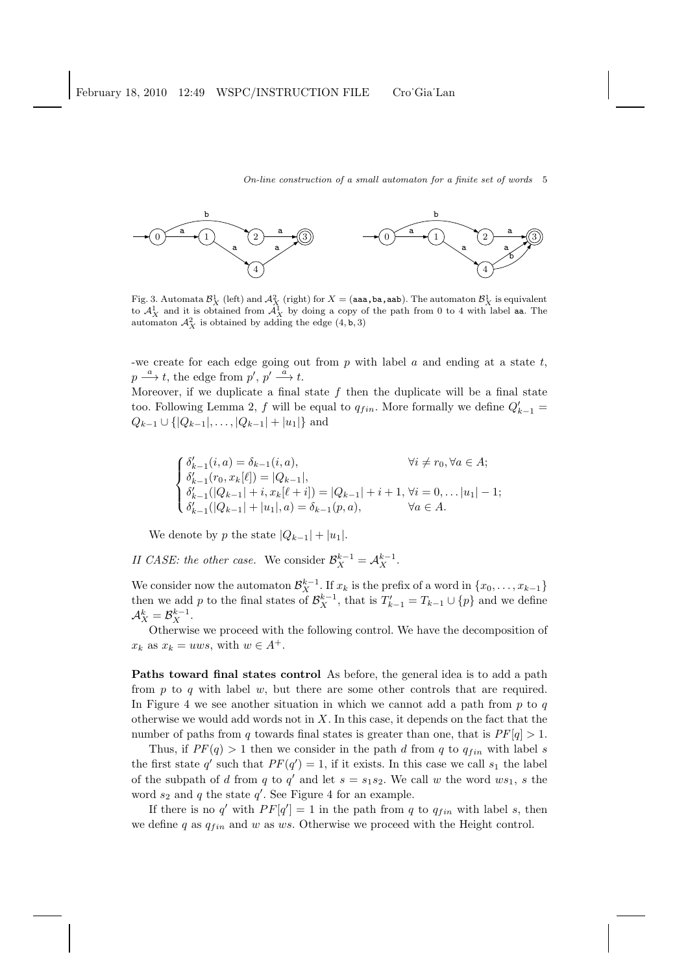

Fig. 3. Automata  $\mathcal{B}_X^1$  (left) and  $\mathcal{A}_X^2$  (right) for  $X = (aaa, ba, aab)$ . The automaton  $\mathcal{B}_X^1$  is equivalent to  $\mathcal{A}_X^1$  and it is obtained from  $\mathcal{A}_X^1$  by doing a copy of the path from 0 to 4 with label automaton  $\mathcal{A}_{X}^{2}$  is obtained by adding the edge  $(4, b, 3)$ 

-we create for each edge going out from  $p$  with label  $a$  and ending at a state  $t$ ,  $p \stackrel{a}{\longrightarrow} t$ , the edge from  $p', p' \stackrel{a}{\longrightarrow} t$ .

Moreover, if we duplicate a final state  $f$  then the duplicate will be a final state too. Following Lemma 2, f will be equal to  $q_{fin}$ . More formally we define  $Q'_{k-1}$  =  $Q_{k-1} \cup \{|Q_{k-1}|, \ldots, |Q_{k-1}| + |u_1|\}$  and

$$
\begin{cases} \delta'_{k-1}(i,a) = \delta_{k-1}(i,a), & \forall i \neq r_0, \forall a \in A; \\ \delta'_{k-1}(r_0, x_k[\ell]) = |Q_{k-1}|, \\ \delta'_{k-1}(|Q_{k-1}| + i, x_k[\ell + i]) = |Q_{k-1}| + i + 1, \forall i = 0, \dots |u_1| - 1; \\ \delta'_{k-1}(|Q_{k-1}| + |u_1|, a) = \delta_{k-1}(p, a), & \forall a \in A. \end{cases}
$$

We denote by p the state  $|Q_{k-1}| + |u_1|$ .

*II CASE: the other case.* We consider  $\mathcal{B}_X^{k-1} = \mathcal{A}_X^{k-1}$ .

We consider now the automaton  $\mathcal{B}_{X}^{k-1}$ . If  $x_k$  is the prefix of a word in  $\{x_0, \ldots, x_{k-1}\}$ then we add p to the final states of  $\mathcal{B}_{X}^{k-1}$ , that is  $T'_{k-1} = T_{k-1} \cup \{p\}$  and we define  $\mathcal{A}_{X}^{k}=\mathcal{B}_{X}^{k-1}.$ 

Otherwise we proceed with the following control. We have the decomposition of  $x_k$  as  $x_k = uws$ , with  $w \in A^+$ .

Paths toward final states control As before, the general idea is to add a path from  $p$  to  $q$  with label  $w$ , but there are some other controls that are required. In Figure 4 we see another situation in which we cannot add a path from  $p$  to  $q$ otherwise we would add words not in  $X$ . In this case, it depends on the fact that the number of paths from q towards final states is greater than one, that is  $PF[q] > 1$ .

Thus, if  $PF(q) > 1$  then we consider in the path d from q to  $q_{fin}$  with label s the first state q' such that  $PF(q') = 1$ , if it exists. In this case we call  $s_1$  the label of the subpath of d from q to q' and let  $s = s_1 s_2$ . We call w the word  $ws_1$ , s the word  $s_2$  and q the state  $q'$ . See Figure 4 for an example.

If there is no q' with  $PF[q'] = 1$  in the path from q to  $q_{fin}$  with label s, then we define q as  $q_{fin}$  and w as ws. Otherwise we proceed with the Height control.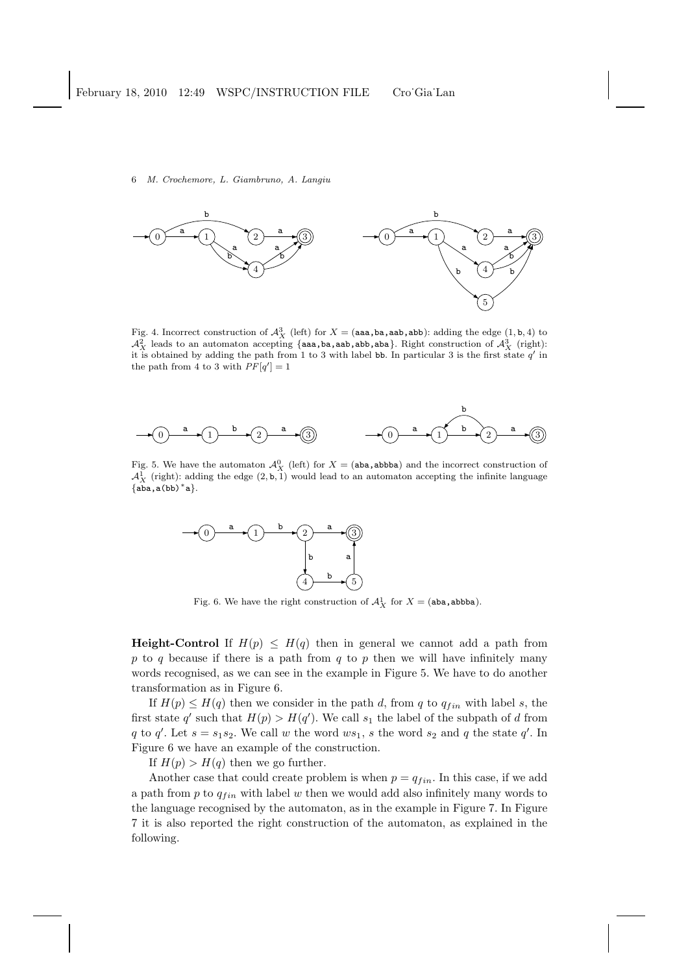

Fig. 4. Incorrect construction of  $\mathcal{A}_{X}^{3}$  (left) for  $X = (aaa,ba, aab, abb)$ : adding the edge  $(1, b, 4)$  to  $\mathcal{A}_{X}^2$  leads to an automaton accepting {aaa,ba,aab,abb,aba}. Right construction of  $\mathcal{A}_{X}^3$  (right): it is obtained by adding the path from 1 to 3 with label bb. In particular 3 is the first state  $q'$  in the path from 4 to 3 with  $PF[q'] = 1$ 



Fig. 5. We have the automaton  $\mathcal{A}_{X}^{0}$  (left) for  $X = (aba, abbba)$  and the incorrect construction of  $\mathcal{A}_{X}^{\tilde{1}}$  (right): adding the edge  $(2, \mathfrak{b}, \tilde{1})$  would lead to an automaton accepting the infinite language  $\{aba, a(bb)*a\}.$ 



Fig. 6. We have the right construction of  $\mathcal{A}_{X}^{1}$  for  $X = (aba, abbba)$ .

**Height-Control** If  $H(p) \leq H(q)$  then in general we cannot add a path from p to q because if there is a path from  $q$  to p then we will have infinitely many words recognised, as we can see in the example in Figure 5. We have to do another transformation as in Figure 6.

If  $H(p) \leq H(q)$  then we consider in the path d, from q to  $q_{fin}$  with label s, the first state q' such that  $H(p) > H(q')$ . We call  $s_1$  the label of the subpath of d from q to q'. Let  $s = s_1 s_2$ . We call w the word  $ws_1$ , s the word  $s_2$  and q the state q'. In Figure 6 we have an example of the construction.

If  $H(p) > H(q)$  then we go further.

Another case that could create problem is when  $p = q_{fin}$ . In this case, if we add a path from  $p$  to  $q_{fin}$  with label w then we would add also infinitely many words to the language recognised by the automaton, as in the example in Figure 7. In Figure 7 it is also reported the right construction of the automaton, as explained in the following.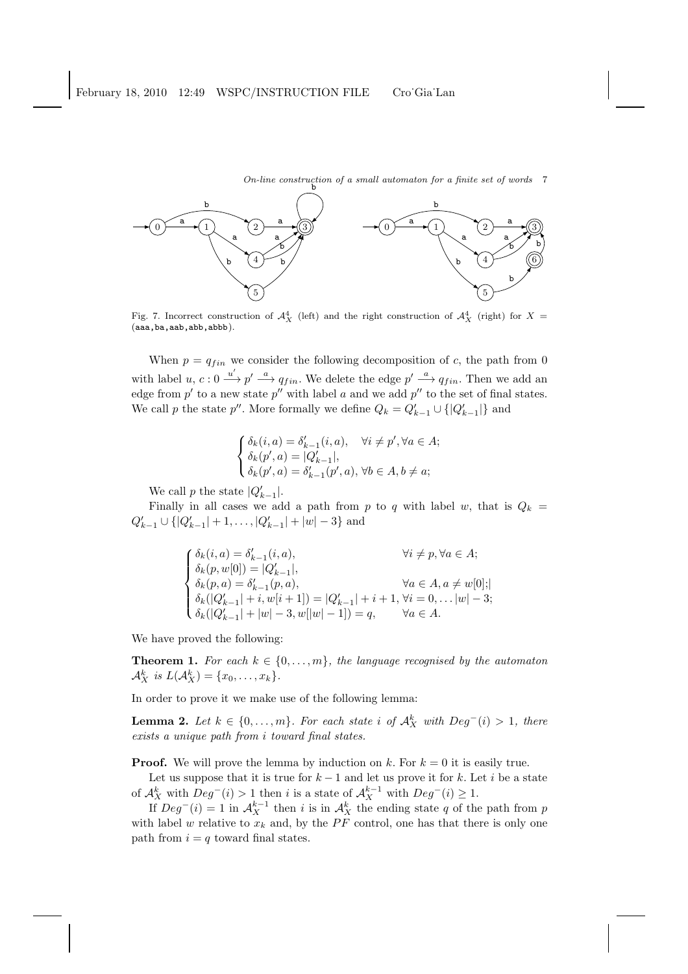On-line construction of a small automaton for a finite set of words  $\begin{bmatrix} 7 \end{bmatrix}$ 



Fig. 7. Incorrect construction of  $\mathcal{A}_{X}^{4}$  (left) and the right construction of  $\mathcal{A}_{X}^{4}$  (right) for  $X =$ (aaa,ba,aab,abb,abbb).

When  $p = q_{fin}$  we consider the following decomposition of c, the path from 0 with label u,  $c: 0 \stackrel{u'}{\longrightarrow} p' \stackrel{a}{\longrightarrow} q_{fin}$ . We delete the edge  $p' \stackrel{a}{\longrightarrow} q_{fin}$ . Then we add an edge from  $p'$  to a new state  $p''$  with label a and we add  $p''$  to the set of final states. We call p the state p''. More formally we define  $Q_k = Q'_{k-1} \cup \{|Q'_{k-1}|\}$  and

$$
\label{eq:delta} \left\{ \begin{aligned} &\delta_k(i,a)=\delta'_{k-1}(i,a), \quad \forall i\neq p', \forall a\in A;\\ &\delta_k(p',a)=|Q'_{k-1}|,\\ &\delta_k(p',a)=\delta'_{k-1}(p',a), \forall b\in A, b\neq a; \end{aligned} \right.
$$

We call p the state  $|Q'_{k-1}|$ .

Finally in all cases we add a path from p to q with label w, that is  $Q_k =$  $Q'_{k-1} \cup \{|Q'_{k-1}| + 1, \ldots, |Q'_{k-1}| + |w| - 3\}$  and

$$
\begin{cases} \delta_k(i,a) = \delta'_{k-1}(i,a), & \forall i \neq p, \forall a \in A; \\ \delta_k(p,w[0]) = |Q'_{k-1}|, & \quad \forall a \in A, a \neq w[0]; \\ \delta_k(p,a) = \delta'_{k-1}(p,a), & \forall a \in A, a \neq w[0]; \\ \delta_k(|Q'_{k-1}|+i,w[i+1]) = |Q'_{k-1}|+i+1, \forall i = 0,\ldots |w|-3; \\ \delta_k(|Q'_{k-1}|+|w|-3,w[|w|-1]) = q, & \forall a \in A. \end{cases}
$$

We have proved the following:

**Theorem 1.** *For each*  $k \in \{0, \ldots, m\}$ *, the language recognised by the automaton*  $\mathcal{A}_{X}^{k}$  is  $L(\mathcal{A}_{X}^{k}) = \{x_{0}, \ldots, x_{k}\}.$ 

In order to prove it we make use of the following lemma:

**Lemma 2.** Let  $k \in \{0, \ldots, m\}$ . For each state i of  $\mathcal{A}_{X}^{k}$  with  $Deg^{-}(i) > 1$ , there *exists a unique path from* i *toward final states.*

**Proof.** We will prove the lemma by induction on k. For  $k = 0$  it is easily true.

Let us suppose that it is true for  $k-1$  and let us prove it for k. Let i be a state of  $\mathcal{A}_{X}^{k}$  with  $Deg^{-}(i) > 1$  then i is a state of  $\mathcal{A}_{X}^{k-1}$  with  $Deg^{-}(i) \geq 1$ .

If  $Deg^-(i) = 1$  in  $\mathcal{A}_X^{k-1}$  then i is in  $\mathcal{A}_X^k$  the ending state q of the path from p with label w relative to  $x_k$  and, by the PF control, one has that there is only one path from  $i = q$  toward final states.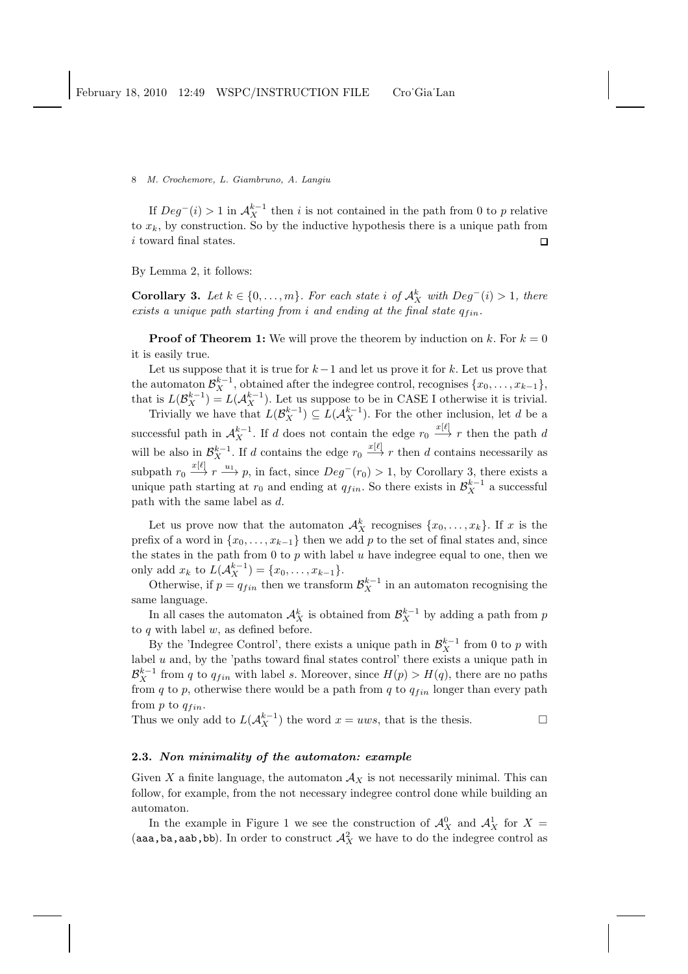If  $Deg^-(i) > 1$  in  $\mathcal{A}_{X}^{k-1}$  then i is not contained in the path from 0 to p relative to  $x_k$ , by construction. So by the inductive hypothesis there is a unique path from i toward final states.  $\Box$ 

By Lemma 2, it follows:

**Corollary 3.** Let  $k \in \{0, \ldots, m\}$ . For each state i of  $\mathcal{A}_{X}^{k}$  with  $Deg^{-}(i) > 1$ , there  $exists a unique path starting from i and ending at the final state  $q_{fin}$ .$ 

**Proof of Theorem 1:** We will prove the theorem by induction on k. For  $k = 0$ it is easily true.

Let us suppose that it is true for  $k-1$  and let us prove it for k. Let us prove that the automaton  $\mathcal{B}_{X}^{k-1}$ , obtained after the indegree control, recognises  $\{x_0, \ldots, x_{k-1}\},$ that is  $L(\mathcal{B}_X^{k-1}) = L(\mathcal{A}_X^{k-1})$ . Let us suppose to be in CASE I otherwise it is trivial.

Trivially we have that  $L(\mathcal{B}_{X}^{k-1}) \subseteq L(\mathcal{A}_{X}^{k-1})$ . For the other inclusion, let d be a successful path in  $\mathcal{A}_{X}^{k-1}$ . If d does not contain the edge  $r_0 \stackrel{x[\ell]}{\longrightarrow} r$  then the path d will be also in  $\mathcal{B}_{X}^{k-1}$ . If d contains the edge  $r_0 \stackrel{x[\ell]}{\longrightarrow} r$  then d contains necessarily as subpath  $r_0 \stackrel{x[\ell]}{\longrightarrow} r \stackrel{u_1}{\longrightarrow} p$ , in fact, since  $Deg^-(r_0) > 1$ , by Corollary 3, there exists a unique path starting at  $r_0$  and ending at  $q_{fin}$ . So there exists in  $\mathcal{B}_{X}^{k-1}$  a successful path with the same label as d.

Let us prove now that the automaton  $\mathcal{A}_X^k$  recognises  $\{x_0, \ldots, x_k\}$ . If x is the prefix of a word in  $\{x_0, \ldots, x_{k-1}\}\$  then we add p to the set of final states and, since the states in the path from 0 to  $p$  with label  $u$  have indegree equal to one, then we only add  $x_k$  to  $L(\mathcal{A}_X^{k-1}) = \{x_0, \ldots, x_{k-1}\}.$ 

Otherwise, if  $p = q_{fin}$  then we transform  $\mathcal{B}_{X}^{k-1}$  in an automaton recognising the same language.

In all cases the automaton  $\mathcal{A}_{X}^{k}$  is obtained from  $\mathcal{B}_{X}^{k-1}$  by adding a path from  $p$ to  $q$  with label  $w$ , as defined before.

By the 'Indegree Control', there exists a unique path in  $\mathcal{B}_{X}^{k-1}$  from 0 to p with label  $u$  and, by the 'paths toward final states control' there exists a unique path in  $\mathcal{B}_{X}^{k-1}$  from q to  $q_{fin}$  with label s. Moreover, since  $H(p) > H(q)$ , there are no paths from q to p, otherwise there would be a path from q to  $q_{fin}$  longer than every path from  $p$  to  $q_{fin}$ .

Thus we only add to  $L(A_X^{k-1})$  the word  $x = uws$ , that is the thesis.

## 2.3. Non minimality of the automaton: example

Given X a finite language, the automaton  $A_X$  is not necessarily minimal. This can follow, for example, from the not necessary indegree control done while building an automaton.

In the example in Figure 1 we see the construction of  $\mathcal{A}_{X}^{0}$  and  $\mathcal{A}_{X}^{1}$  for  $X =$ (aaa,ba,aab,bb). In order to construct  $\mathcal{A}_{X}^{2}$  we have to do the indegree control as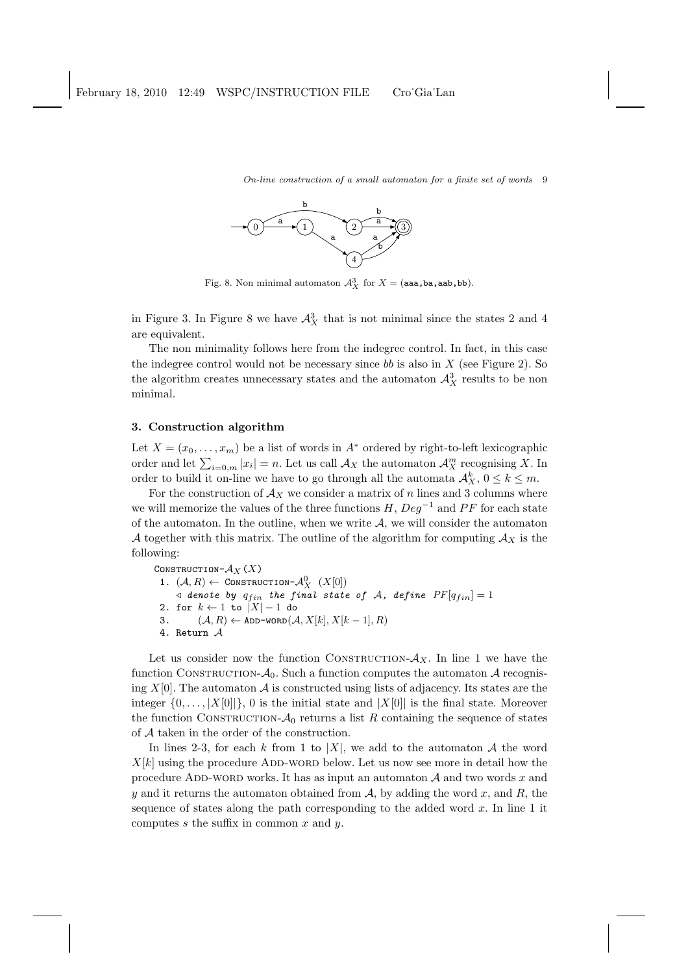

Fig. 8. Non minimal automaton  $\mathcal{A}_X^3$  for  $X = ($ aaa,ba,aab,bb).

in Figure 3. In Figure 8 we have  $\mathcal{A}_{X}^{3}$  that is not minimal since the states 2 and 4 are equivalent.

The non minimality follows here from the indegree control. In fact, in this case the indegree control would not be necessary since bb is also in  $X$  (see Figure 2). So the algorithm creates unnecessary states and the automaton  $\mathcal{A}^3_X$  results to be non minimal.

## 3. Construction algorithm

Let  $X = (x_0, \ldots, x_m)$  be a list of words in  $A^*$  ordered by right-to-left lexicographic order and let  $\sum_{i=0,m} |x_i| = n$ . Let us call  $\mathcal{A}_X$  the automaton  $\mathcal{A}_X^m$  recognising X. In order to build it on-line we have to go through all the automata  $\mathcal{A}_{X}^{k}$ ,  $0 \leq k \leq m$ .

For the construction of  $A_X$  we consider a matrix of n lines and 3 columns where we will memorize the values of the three functions  $H, Deg^{-1}$  and PF for each state of the automaton. In the outline, when we write  $A$ , we will consider the automaton A together with this matrix. The outline of the algorithm for computing  $A_X$  is the following:

CONSTRUCTION- $\mathcal{A}_X(X)$ 1.  $(A, R) \leftarrow \text{Construction-}\mathcal{A}_{X}^{0} \ (X[0])$  $\triangleleft$  denote by  $q_{fin}$  the final state of A, define  $PF[q_{fin}] = 1$ 2. for  $k \leftarrow 1$  to  $|X| - 1$  do 3.  $(\mathcal{A}, R) \leftarrow \texttt{ADD-WORD}(\mathcal{A}, X[k], X[k-1], R)$ 4. Return A

Let us consider now the function CONSTRUCTION- $A_X$ . In line 1 we have the function CONSTRUCTION- $A_0$ . Such a function computes the automaton A recognising  $X[0]$ . The automaton  $A$  is constructed using lists of adjacency. Its states are the integer  $\{0, \ldots, |X[0]| \}$ , 0 is the initial state and  $|X[0]|$  is the final state. Moreover the function CONSTRUCTION- $A_0$  returns a list R containing the sequence of states of A taken in the order of the construction.

In lines 2-3, for each k from 1 to |X|, we add to the automaton A the word  $X[k]$  using the procedure ADD-WORD below. Let us now see more in detail how the procedure ADD-WORD works. It has as input an automaton  $A$  and two words x and y and it returns the automaton obtained from  $A$ , by adding the word x, and R, the sequence of states along the path corresponding to the added word  $x$ . In line 1 it computes  $s$  the suffix in common  $x$  and  $y$ .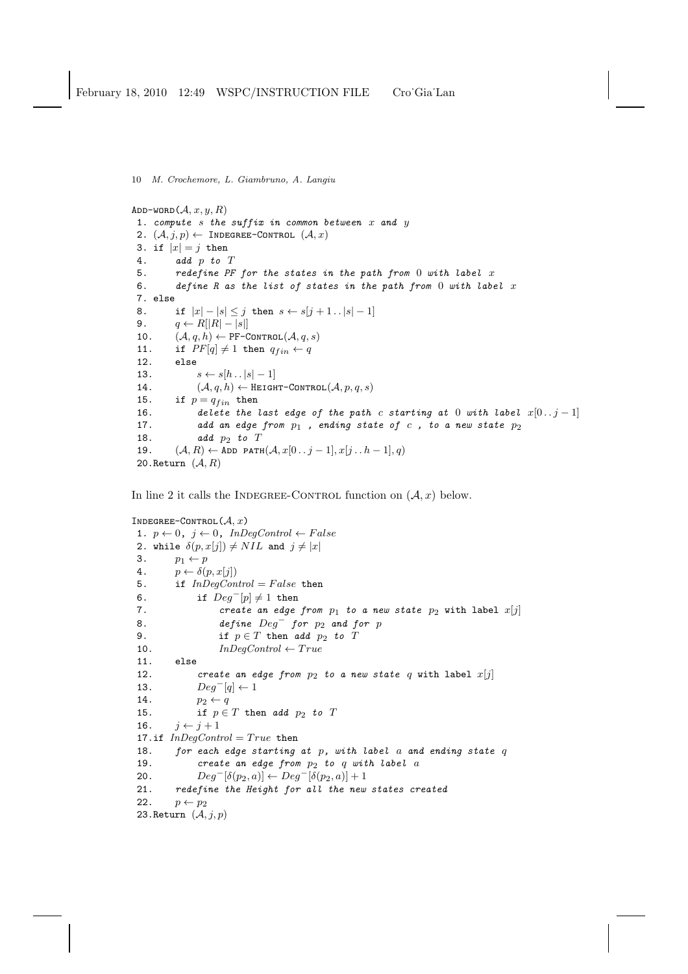```
ADD-WORD(A, x, y, R)1. compute s the suffix in common between x and y2. (\mathcal{A}, j, p) \leftarrow INDEGREE-CONTROL (\mathcal{A}, x)3. if |x| = j then
4. add p to T
5. redefine PF for the states in the path from 0 with label x6. define R as the list of states in the path from 0 with label x7. else
8. if |x| - |s| \leq j then s \leftarrow s[j+1..|s|-1]9. q \leftarrow R[|R| - |s|]10. (\mathcal{A}, q, h) \leftarrow \texttt{PF-CONTROL}(\mathcal{A}, q, s)11. if PF[q] \neq 1 then q_{fin} \leftarrow q12. else
13. s \leftarrow s[h \dots |s| - 1]14. (A, q, h) \leftarrow \text{HEIGHT-CONTROL}(A, p, q, s)15. if p = q_{fin} then<br>16. delete the
              delete the last edge of the path c starting at 0 with label x[0.. j - 1]17. add an edge from p_1, ending state of c, to a new state p_218. add p_2 to T19. (\mathcal{A}, R) \leftarrow \text{ADD PATH}(\mathcal{A}, x[0..j-1], x[j..h-1], q)20. Return (A, R)
```
In line 2 it calls the INDEGREE-CONTROL function on  $(A, x)$  below.

```
INDEGREE-CONTROL(A, x)1. p \leftarrow 0, j \leftarrow 0, InDegControl \leftarrow False
2. while \delta(p, x[j]) \neq NIL and j \neq |x|3. p_1 \leftarrow p4. p \leftarrow \delta(p, x[j])5. if InDegControl = False then
 6. if Deg^{-}[p] \neq 1 then
 7. create an edge from p_1 to a new state p_2 with label x[j]8. define Deg^- for p_2 and for p9. if p \in T then add p_2 to T10. InDegControl \leftarrow True11. else
 12. create an edge from p_2 to a new state q with label x[j]13. Deg^{-}[q] \leftarrow 114. p_2 \leftarrow q15. if p \in T then add p_2 to T
 16. j \leftarrow j + 117.if InDegControl = True then
 18. for each edge starting at p, with label a and ending state q19. create an edge from p_2 to q with label a<br>20. Deq^{-}[\delta(p_2, a)] \leftarrow Deq^{-}[\delta(p_2, a)] + 120. Deg^{-}[\delta(p_2, a)] \leftarrow Deg^{-}[\delta(p_2, a)] + 1<br>21. redefine the Height for all the new
         redefine the Height for all the new states created
 22. p \leftarrow p_223. Return (\mathcal{A}, j, p)
```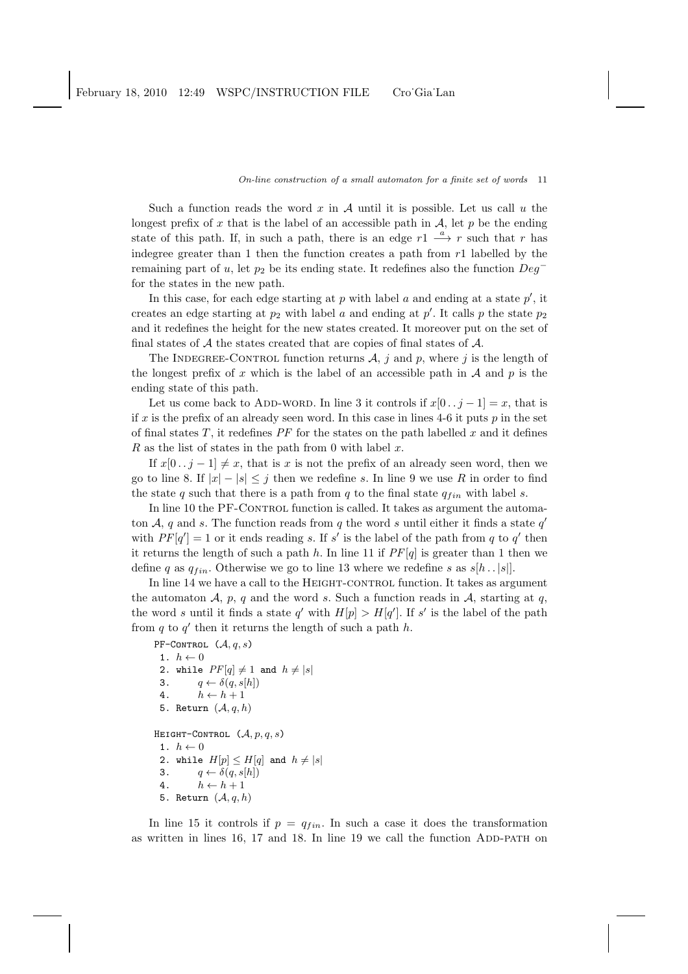Such a function reads the word  $x$  in  $A$  until it is possible. Let us call  $u$  the longest prefix of x that is the label of an accessible path in  $A$ , let p be the ending state of this path. If, in such a path, there is an edge  $r1 \stackrel{a}{\longrightarrow} r$  such that r has indegree greater than 1 then the function creates a path from  $r1$  labelled by the remaining part of u, let  $p_2$  be its ending state. It redefines also the function  $Deg^$ for the states in the new path.

In this case, for each edge starting at  $p$  with label  $a$  and ending at a state  $p'$ , it creates an edge starting at  $p_2$  with label a and ending at  $p'$ . It calls p the state  $p_2$ and it redefines the height for the new states created. It moreover put on the set of final states of  $A$  the states created that are copies of final states of  $A$ .

The INDEGREE-CONTROL function returns  $A$ , j and p, where j is the length of the longest prefix of x which is the label of an accessible path in  $A$  and  $p$  is the ending state of this path.

Let us come back to ADD-WORD. In line 3 it controls if  $x[0 \tcdot i - 1] = x$ , that is if x is the prefix of an already seen word. In this case in lines 4-6 it puts  $p$  in the set of final states  $T$ , it redefines  $PF$  for the states on the path labelled  $x$  and it defines  $R$  as the list of states in the path from 0 with label  $x$ .

If  $x[0 \tcdot i - 1] \neq x$ , that is x is not the prefix of an already seen word, then we go to line 8. If  $|x| - |s| \leq j$  then we redefine s. In line 9 we use R in order to find the state q such that there is a path from  $q$  to the final state  $q_{fin}$  with label s.

In line 10 the PF-CONTROL function is called. It takes as argument the automaton A, q and s. The function reads from q the word s until either it finds a state  $q'$ with  $PF[q'] = 1$  or it ends reading s. If s' is the label of the path from q to q' then it returns the length of such a path  $h$ . In line 11 if  $PF[q]$  is greater than 1 then we define q as  $q_{fin}$ . Otherwise we go to line 13 where we redefine s as  $s[h \tcdot |s|]$ .

In line 14 we have a call to the HEIGHT-CONTROL function. It takes as argument the automaton  $A$ ,  $p$ ,  $q$  and the word  $s$ . Such a function reads in  $A$ , starting at  $q$ , the word s until it finds a state q' with  $H[p] > H[q']$ . If s' is the label of the path from  $q$  to  $q'$  then it returns the length of such a path  $h$ .

```
PF-CONTROL (\mathcal{A}, q, s)1. h \leftarrow 02. while PF[q] \neq 1 and h \neq |s|3. q \leftarrow \delta(q, s[h])4. h \leftarrow h + 15. Return (A, q, h)HEIGHT-CONTROL (A, p, q, s)1. h \leftarrow 02. while H[p] \leq H[q] and h \neq |s|3. q \leftarrow \delta(q, s[h])4. h \leftarrow h + 15. Return (A, q, h)
```
In line 15 it controls if  $p = q_{fin}$ . In such a case it does the transformation as written in lines 16, 17 and 18. In line 19 we call the function ADD-PATH on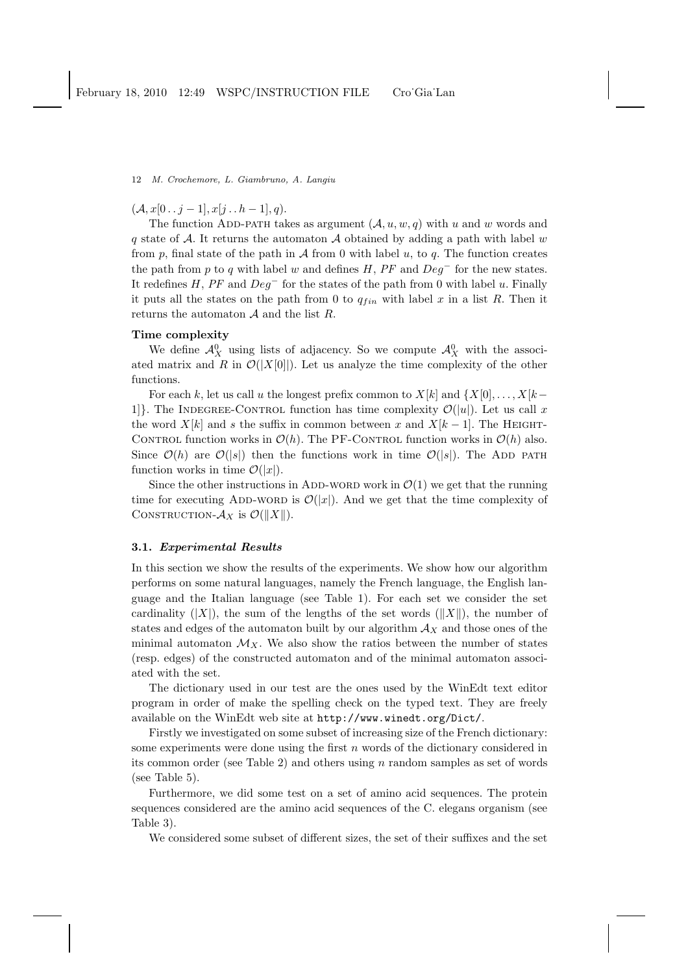$(A, x[0 \tcdot i-1], x[i \tcdot h-1], q).$ 

The function ADD-PATH takes as argument  $(A, u, w, q)$  with u and w words and q state of A. It returns the automaton A obtained by adding a path with label w from  $p$ , final state of the path in  $A$  from 0 with label  $u$ , to  $q$ . The function creates the path from p to q with label w and defines H,  $PF$  and  $Deq^-$  for the new states. It redefines  $H$ ,  $PF$  and  $Deg^-$  for the states of the path from 0 with label u. Finally it puts all the states on the path from 0 to  $q_{fin}$  with label x in a list R. Then it returns the automaton  $A$  and the list  $R$ .

## Time complexity

We define  $\mathcal{A}_{X}^{0}$  using lists of adjacency. So we compute  $\mathcal{A}_{X}^{0}$  with the associated matrix and R in  $\mathcal{O}(|X[0]|)$ . Let us analyze the time complexity of the other functions.

For each k, let us call u the longest prefix common to  $X[k]$  and  $\{X[0], \ldots, X[k-1]\}$ 1]. The INDEGREE-CONTROL function has time complexity  $\mathcal{O}(|u|)$ . Let us call x the word  $X[k]$  and s the suffix in common between x and  $X[k-1]$ . The HEIGHT-CONTROL function works in  $\mathcal{O}(h)$ . The PF-CONTROL function works in  $\mathcal{O}(h)$  also. Since  $\mathcal{O}(h)$  are  $\mathcal{O}(|s|)$  then the functions work in time  $\mathcal{O}(|s|)$ . The ADD path function works in time  $\mathcal{O}(|x|)$ .

Since the other instructions in ADD-WORD work in  $\mathcal{O}(1)$  we get that the running time for executing ADD-WORD is  $\mathcal{O}(|x|)$ . And we get that the time complexity of CONSTRUCTION- $\mathcal{A}_X$  is  $\mathcal{O}(\Vert X \Vert)$ .

## 3.1. Experimental Results

In this section we show the results of the experiments. We show how our algorithm performs on some natural languages, namely the French language, the English language and the Italian language (see Table 1). For each set we consider the set cardinality  $(|X|)$ , the sum of the lengths of the set words  $(|X|)$ , the number of states and edges of the automaton built by our algorithm  $A_X$  and those ones of the minimal automaton  $\mathcal{M}_X$ . We also show the ratios between the number of states (resp. edges) of the constructed automaton and of the minimal automaton associated with the set.

The dictionary used in our test are the ones used by the WinEdt text editor program in order of make the spelling check on the typed text. They are freely available on the WinEdt web site at http://www.winedt.org/Dict/.

Firstly we investigated on some subset of increasing size of the French dictionary: some experiments were done using the first  $n$  words of the dictionary considered in its common order (see Table 2) and others using  $n$  random samples as set of words (see Table 5).

Furthermore, we did some test on a set of amino acid sequences. The protein sequences considered are the amino acid sequences of the C. elegans organism (see Table 3).

We considered some subset of different sizes, the set of their suffixes and the set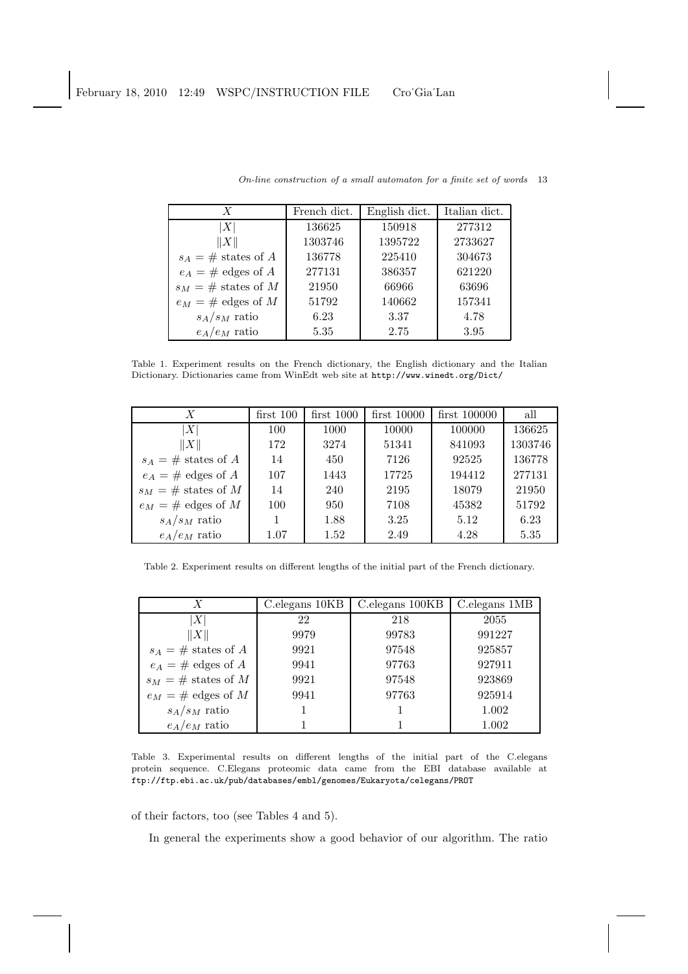| $\boldsymbol{X}$       | French dict. | English dict. | Italian dict. |
|------------------------|--------------|---------------|---------------|
| X                      | 136625       | 150918        | 277312        |
| X                      | 1303746      | 1395722       | 2733627       |
| $s_A = \#$ states of A | 136778       | 225410        | 304673        |
| $e_A = \#$ edges of A  | 277131       | 386357        | 621220        |
| $s_M = \#$ states of M | 21950        | 66966         | 63696         |
| $e_M = \#$ edges of M  | 51792        | 140662        | 157341        |
| $s_A/s_M$ ratio        | 6.23         | 3.37          | 4.78          |
| $e_A/e_M$ ratio        | 5.35         | 2.75          | 3.95          |

Table 1. Experiment results on the French dictionary, the English dictionary and the Italian Dictionary. Dictionaries came from WinEdt web site at http://www.winedt.org/Dict/

| X                      | $first\,100$ | $first\ 1000$ | $first\,10000$ | $first\ 100000$ | all     |
|------------------------|--------------|---------------|----------------|-----------------|---------|
| X                      | 100          | 1000          | 10000          | 100000          | 136625  |
| $\ X\ $                | 172          | 3274          | 51341          | 841093          | 1303746 |
| $s_A = \#$ states of A | 14           | 450           | 7126           | 92525           | 136778  |
| $e_A = \#$ edges of A  | 107          | 1443          | 17725          | 194412          | 277131  |
| $s_M = \#$ states of M | 14           | 240           | 2195           | 18079           | 21950   |
| $e_M = \#$ edges of M  | 100          | 950           | 7108           | 45382           | 51792   |
| $s_A/s_M$ ratio        |              | 1.88          | 3.25           | 5.12            | 6.23    |
| $e_A/e_M$ ratio        | 1.07         | 1.52          | 2.49           | 4.28            | 5.35    |

Table 2. Experiment results on different lengths of the initial part of the French dictionary.

| $\boldsymbol{X}$       | C. elegans 10KB | C. elegans 100KB | C.elegans 1MB |
|------------------------|-----------------|------------------|---------------|
| $\boldsymbol{X}$       | 22              | 218              | 2055          |
| $\ X\ $                | 9979            | 99783            | 991227        |
| $s_A = \#$ states of A | 9921            | 97548            | 925857        |
| $e_A = \#$ edges of A  | 9941            | 97763            | 927911        |
| $s_M = \#$ states of M | 9921            | 97548            | 923869        |
| $e_M = \#$ edges of M  | 9941            | 97763            | 925914        |
| $s_A/s_M$ ratio        |                 |                  | 1.002         |
| $e_A/e_M$ ratio        |                 |                  | 1.002         |

Table 3. Experimental results on different lengths of the initial part of the C.elegans protein sequence. C.Elegans proteomic data came from the EBI database available at ftp://ftp.ebi.ac.uk/pub/databases/embl/genomes/Eukaryota/celegans/PROT

of their factors, too (see Tables 4 and 5).

In general the experiments show a good behavior of our algorithm. The ratio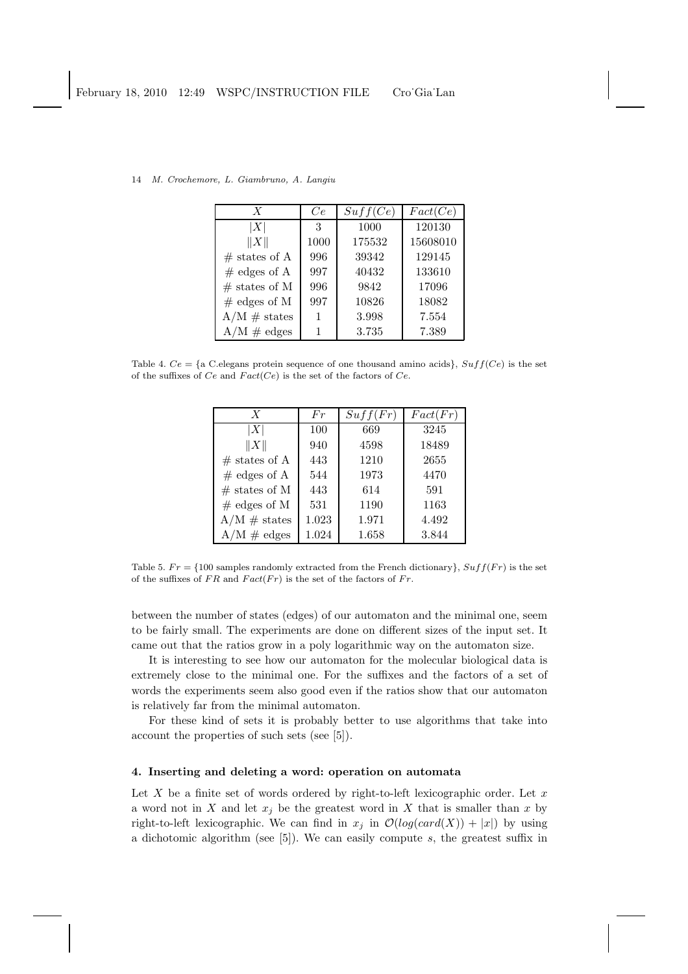| $\boldsymbol{X}$          | Ce   | Suff(Ce) | Fact(Ce) |
|---------------------------|------|----------|----------|
| X                         | 3    | 1000     | 120130   |
| X                         | 1000 | 175532   | 15608010 |
| $\#$ states of A          | 996  | 39342    | 129145   |
| $#$ edges of A            | 997  | 40432    | 133610   |
| $#$ states of M           | 996  | 9842     | 17096    |
| $#$ edges of M            | 997  | 10826    | 18082    |
| $A/M \#$ states           |      | 3.998    | 7.554    |
| $A/M \text{ } \neq$ edges |      | 3.735    | 7.389    |

14 M. Crochemore, L. Giambruno, A. Langiu

Table 4.  $Ce = \{a \text{ C.}$ elegans protein sequence of one thousand amino acids $\}$ ,  $Suff(Ce)$  is the set of the suffixes of  $Ce$  and  $Fact(Ce)$  is the set of the factors of  $Ce$ .

| $\boldsymbol{X}$ | Fr    | Suff(Fr) | Fact(Fr) |
|------------------|-------|----------|----------|
| X                | 100   | 669      | 3245     |
| X                | 940   | 4598     | 18489    |
| $\#$ states of A | 443   | 1210     | 2655     |
| $#$ edges of A   | 544   | 1973     | 4470     |
| $#$ states of M  | 443   | 614      | 591      |
| $#$ edges of M   | 531   | 1190     | 1163     |
| $A/M \#$ states  | 1.023 | 1.971    | 4.492    |
| $A/M \neq edges$ | 1.024 | 1.658    | 3.844    |

Table 5.  $Fr = \{100$  samples randomly extracted from the French dictionary,  $Suff(Fr)$  is the set of the suffixes of  $FR$  and  $Fact(Fr)$  is the set of the factors of  $Fr$ .

between the number of states (edges) of our automaton and the minimal one, seem to be fairly small. The experiments are done on different sizes of the input set. It came out that the ratios grow in a poly logarithmic way on the automaton size.

It is interesting to see how our automaton for the molecular biological data is extremely close to the minimal one. For the suffixes and the factors of a set of words the experiments seem also good even if the ratios show that our automaton is relatively far from the minimal automaton.

For these kind of sets it is probably better to use algorithms that take into account the properties of such sets (see [5]).

## 4. Inserting and deleting a word: operation on automata

Let  $X$  be a finite set of words ordered by right-to-left lexicographic order. Let  $x$ a word not in X and let  $x_i$  be the greatest word in X that is smaller than x by right-to-left lexicographic. We can find in  $x_i$  in  $\mathcal{O}(log(card(X)) + |x|)$  by using a dichotomic algorithm (see  $[5]$ ). We can easily compute s, the greatest suffix in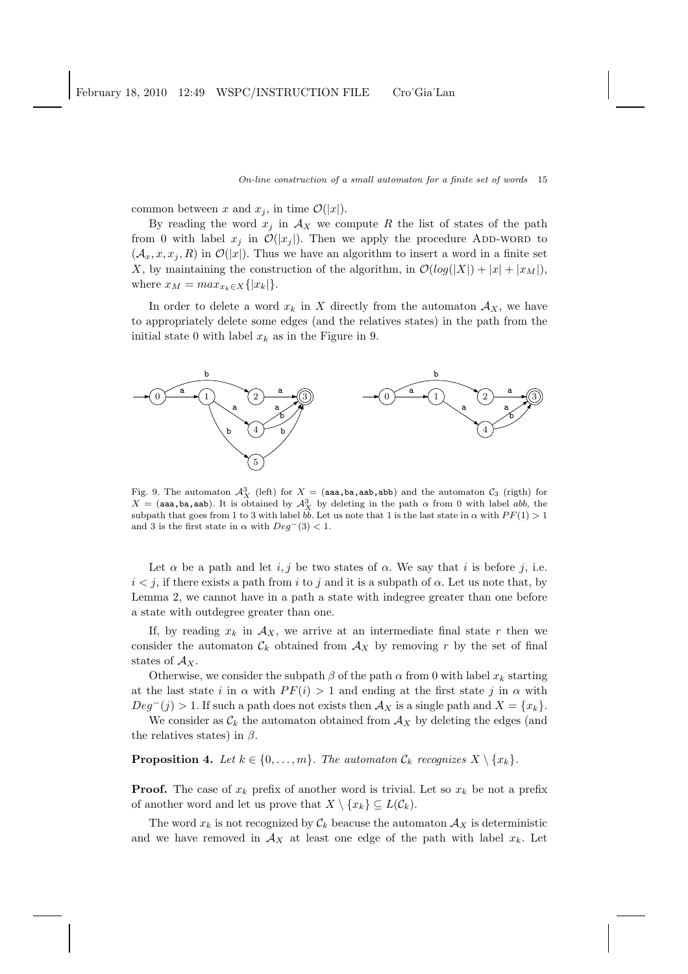common between x and  $x_i$ , in time  $\mathcal{O}(|x|)$ .

By reading the word  $x_j$  in  $\mathcal{A}_X$  we compute R the list of states of the path from 0 with label  $x_i$  in  $\mathcal{O}(|x_i|)$ . Then we apply the procedure ADD-WORD to  $(\mathcal{A}_x, x, x_j, R)$  in  $\mathcal{O}(|x|)$ . Thus we have an algorithm to insert a word in a finite set X, by maintaining the construction of the algorithm, in  $\mathcal{O}(log(|X|) + |x| + |x_M|)$ , where  $x_M = max_{x_k \in X} \{|x_k|\}.$ 

In order to delete a word  $x_k$  in X directly from the automaton  $\mathcal{A}_X$ , we have to appropriately delete some edges (and the relatives states) in the path from the initial state 0 with label  $x_k$  as in the Figure in 9.



Fig. 9. The automaton  $\mathcal{A}_{X}^{3}$  (left) for  $X = (aaa,ba, aab, abb)$  and the automaton  $\mathcal{C}_{3}$  (rigth) for  $X = (aaa,ba, aab)$ . It is obtained by  $\mathcal{A}_X^3$  by deleting in the path  $\alpha$  from 0 with label abb, the subpath that goes from 1 to 3 with label  $b\bar{b}$ . Let us note that 1 is the last state in  $\alpha$  with  $PF(1) > 1$ and 3 is the first state in  $\alpha$  with  $Deg^-(3) < 1$ .

Let  $\alpha$  be a path and let i, j be two states of  $\alpha$ . We say that i is before j, i.e.  $i < j$ , if there exists a path from i to j and it is a subpath of  $\alpha$ . Let us note that, by Lemma 2, we cannot have in a path a state with indegree greater than one before a state with outdegree greater than one.

If, by reading  $x_k$  in  $\mathcal{A}_X$ , we arrive at an intermediate final state r then we consider the automaton  $\mathcal{C}_k$  obtained from  $\mathcal{A}_X$  by removing r by the set of final states of  $\mathcal{A}_X$ .

Otherwise, we consider the subpath  $\beta$  of the path  $\alpha$  from 0 with label  $x_k$  starting at the last state i in  $\alpha$  with  $PF(i) > 1$  and ending at the first state j in  $\alpha$  with  $Deg^-(j) > 1$ . If such a path does not exists then  $\mathcal{A}_X$  is a single path and  $X = \{x_k\}.$ 

We consider as  $\mathcal{C}_k$  the automaton obtained from  $\mathcal{A}_X$  by deleting the edges (and the relatives states) in  $\beta$ .

**Proposition 4.** *Let*  $k \in \{0, \ldots, m\}$ *. The automaton*  $\mathcal{C}_k$  *recognizes*  $X \setminus \{x_k\}$ *.* 

**Proof.** The case of  $x_k$  prefix of another word is trivial. Let so  $x_k$  be not a prefix of another word and let us prove that  $X \setminus \{x_k\} \subseteq L(\mathcal{C}_k)$ .

The word  $x_k$  is not recognized by  $\mathcal{C}_k$  beacuse the automaton  $\mathcal{A}_X$  is deterministic and we have removed in  $\mathcal{A}_X$  at least one edge of the path with label  $x_k$ . Let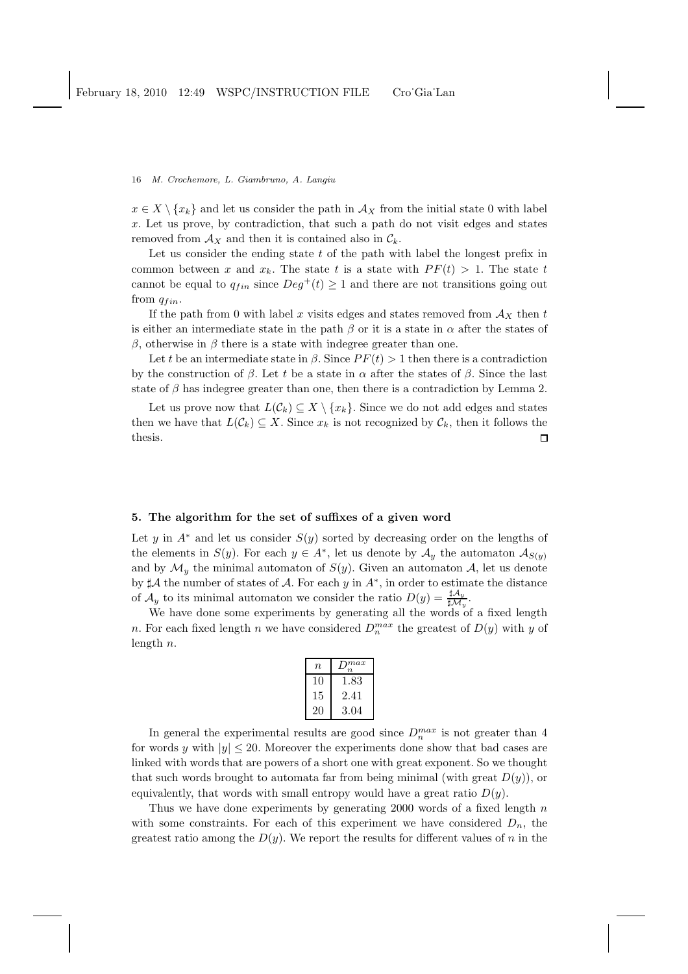$x \in X \setminus \{x_k\}$  and let us consider the path in  $\mathcal{A}_X$  from the initial state 0 with label x. Let us prove, by contradiction, that such a path do not visit edges and states removed from  $\mathcal{A}_X$  and then it is contained also in  $\mathcal{C}_k$ .

Let us consider the ending state  $t$  of the path with label the longest prefix in common between x and  $x_k$ . The state t is a state with  $PF(t) > 1$ . The state t cannot be equal to  $q_{fin}$  since  $Deg^+(t) \geq 1$  and there are not transitions going out from  $q_{fin}$ .

If the path from 0 with label x visits edges and states removed from  $A_X$  then t is either an intermediate state in the path  $\beta$  or it is a state in  $\alpha$  after the states of β, otherwise in β there is a state with indegree greater than one.

Let t be an intermediate state in  $\beta$ . Since  $PF(t) > 1$  then there is a contradiction by the construction of  $\beta$ . Let t be a state in  $\alpha$  after the states of  $\beta$ . Since the last state of  $\beta$  has indegree greater than one, then there is a contradiction by Lemma 2.

Let us prove now that  $L(\mathcal{C}_k) \subseteq X \setminus \{x_k\}$ . Since we do not add edges and states then we have that  $L(\mathcal{C}_k) \subseteq X$ . Since  $x_k$  is not recognized by  $\mathcal{C}_k$ , then it follows the thesis.  $\Box$ 

## 5. The algorithm for the set of suffixes of a given word

Let y in  $A^*$  and let us consider  $S(y)$  sorted by decreasing order on the lengths of the elements in  $S(y)$ . For each  $y \in A^*$ , let us denote by  $\mathcal{A}_y$  the automaton  $\mathcal{A}_{S(y)}$ and by  $\mathcal{M}_y$  the minimal automaton of  $S(y)$ . Given an automaton  $\mathcal{A}$ , let us denote by  $\sharp \mathcal{A}$  the number of states of  $\mathcal{A}$ . For each y in  $A^*$ , in order to estimate the distance of  $\mathcal{A}_y$  to its minimal automaton we consider the ratio  $D(y) = \frac{\sharp \mathcal{A}_y}{\sharp \mathcal{M}_y}$ .

We have done some experiments by generating all the words of a fixed length n. For each fixed length n we have considered  $D_n^{max}$  the greatest of  $D(y)$  with y of length n.

| n  | $_{max}$ |
|----|----------|
| 10 | 1.83     |
| 15 | 2.41     |
| 20 | 3.04     |

In general the experimental results are good since  $D_n^{max}$  is not greater than 4 for words y with  $|y| \leq 20$ . Moreover the experiments done show that bad cases are linked with words that are powers of a short one with great exponent. So we thought that such words brought to automata far from being minimal (with great  $D(y)$ ), or equivalently, that words with small entropy would have a great ratio  $D(y)$ .

Thus we have done experiments by generating 2000 words of a fixed length  $n$ with some constraints. For each of this experiment we have considered  $D_n$ , the greatest ratio among the  $D(y)$ . We report the results for different values of n in the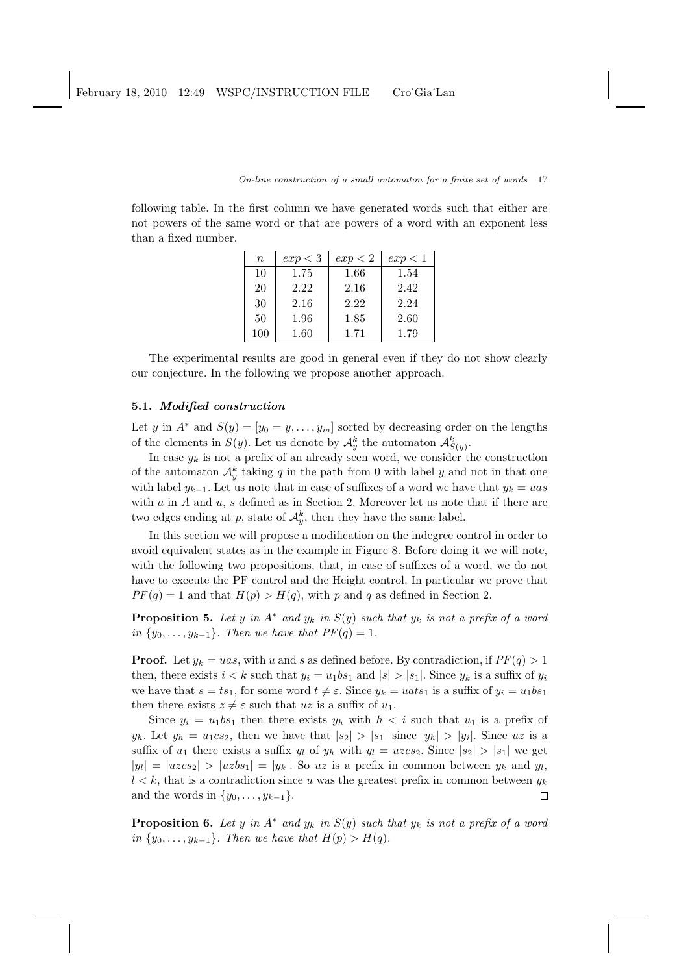following table. In the first column we have generated words such that either are not powers of the same word or that are powers of a word with an exponent less than a fixed number.

| $\boldsymbol{n}$ | exp < 3 | $\exp < 2$ | $\exp$ < 1 |
|------------------|---------|------------|------------|
| 10               | 1.75    | 1.66       | 1.54       |
| 20               | 2.22    | 2.16       | 2.42       |
| 30               | 2.16    | 2.22       | 2.24       |
| 50               | 1.96    | 1.85       | 2.60       |
| $100\,$          | 1.60    | 1.71       | 1.79       |

The experimental results are good in general even if they do not show clearly our conjecture. In the following we propose another approach.

## 5.1. Modified construction

Let y in  $A^*$  and  $S(y) = [y_0 = y, \ldots, y_m]$  sorted by decreasing order on the lengths of the elements in  $S(y)$ . Let us denote by  $\mathcal{A}_{y}^{k}$  the automaton  $\mathcal{A}_{S(y)}^{k}$ .

In case  $y_k$  is not a prefix of an already seen word, we consider the construction of the automaton  $\mathcal{A}_{y}^{k}$  taking q in the path from 0 with label y and not in that one with label  $y_{k-1}$ . Let us note that in case of suffixes of a word we have that  $y_k = u$ as with  $a$  in  $A$  and  $u$ ,  $s$  defined as in Section 2. Moreover let us note that if there are two edges ending at p, state of  $\mathcal{A}_{y}^{k}$ , then they have the same label.

In this section we will propose a modification on the indegree control in order to avoid equivalent states as in the example in Figure 8. Before doing it we will note, with the following two propositions, that, in case of suffixes of a word, we do not have to execute the PF control and the Height control. In particular we prove that  $PF(q) = 1$  and that  $H(p) > H(q)$ , with p and q as defined in Section 2.

**Proposition 5.** Let y in  $A^*$  and  $y_k$  in  $S(y)$  such that  $y_k$  is not a prefix of a word *in*  $\{y_0, \ldots, y_{k-1}\}$ *. Then we have that*  $PF(q) = 1$ *.* 

**Proof.** Let  $y_k = uas$ , with u and s as defined before. By contradiction, if  $PF(q) > 1$ then, there exists  $i < k$  such that  $y_i = u_1bs_1$  and  $|s| > |s_1|$ . Since  $y_k$  is a suffix of  $y_i$ we have that  $s = ts_1$ , for some word  $t \neq \varepsilon$ . Since  $y_k = uats_1$  is a suffix of  $y_i = u_1bs_1$ then there exists  $z \neq \varepsilon$  such that uz is a suffix of  $u_1$ .

Since  $y_i = u_1bs_1$  then there exists  $y_h$  with  $h < i$  such that  $u_1$  is a prefix of  $y_h$ . Let  $y_h = u_1cs_2$ , then we have that  $|s_2| > |s_1|$  since  $|y_h| > |y_i|$ . Since uz is a suffix of  $u_1$  there exists a suffix  $y_l$  of  $y_h$  with  $y_l = uzc_s$ . Since  $|s_2| > |s_1|$  we get  $|y_l| = |u \cos 2| > |u \sin 2| = |y_k|$ . So uz is a prefix in common between  $y_k$  and  $y_l$ ,  $l < k$ , that is a contradiction since u was the greatest prefix in common between  $y_k$ and the words in  $\{y_0, \ldots, y_{k-1}\}.$  $\Box$ 

**Proposition 6.** Let y in  $A^*$  and  $y_k$  in  $S(y)$  such that  $y_k$  is not a prefix of a word *in*  $\{y_0, \ldots, y_{k-1}\}$ *. Then we have that*  $H(p) > H(q)$ *.*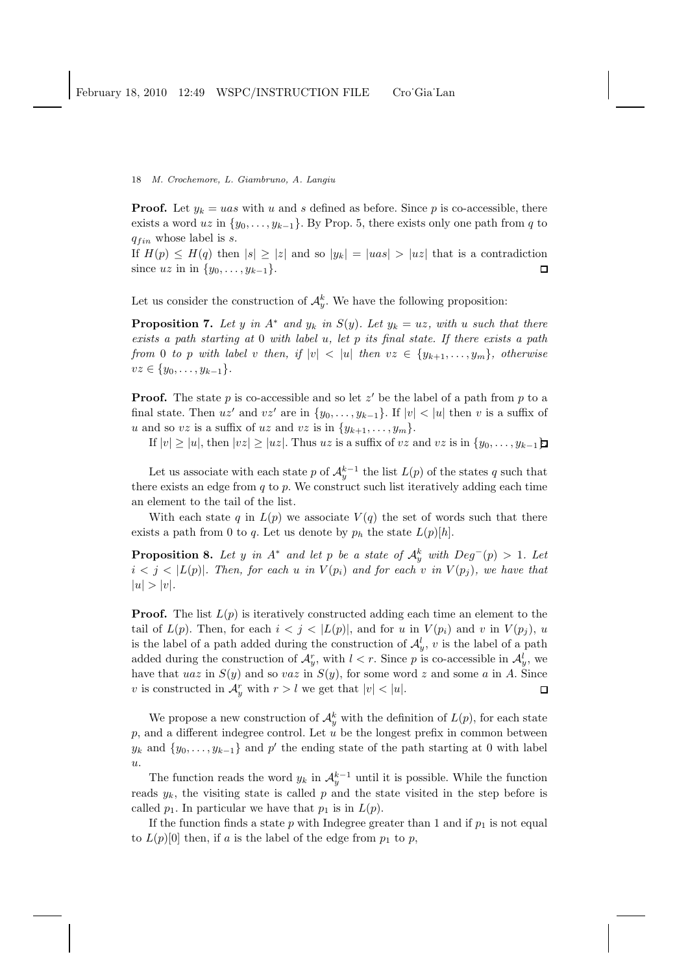**Proof.** Let  $y_k = uas$  with u and s defined as before. Since p is co-accessible, there exists a word uz in  $\{y_0, \ldots, y_{k-1}\}$ . By Prop. 5, there exists only one path from q to  $q_{fin}$  whose label is s.

If  $H(p) \leq H(q)$  then  $|s| \geq |z|$  and so  $|y_k| = |u s| > |u z|$  that is a contradiction since  $uz$  in in  $\{y_0, \ldots, y_{k-1}\}.$  $\Box$ 

Let us consider the construction of  $\mathcal{A}_{y}^{k}$ . We have the following proposition:

**Proposition 7.** Let y in  $A^*$  and  $y_k$  in  $S(y)$ . Let  $y_k = uz$ , with u such that there *exists a path starting at* 0 *with label* u*, let* p *its final state. If there exists a path from* 0 *to* p *with label* v *then, if*  $|v| < |u|$  *then*  $vz \in \{y_{k+1}, \ldots, y_m\}$ *, otherwise*  $vz \in \{y_0, \ldots, y_{k-1}\}.$ 

**Proof.** The state p is co-accessible and so let  $z'$  be the label of a path from p to a final state. Then  $uz'$  and  $vz'$  are in  $\{y_0, \ldots, y_{k-1}\}$ . If  $|v| < |u|$  then v is a suffix of u and so vz is a suffix of uz and vz is in  $\{y_{k+1}, \ldots, y_m\}$ .

If  $|v| \ge |u|$ , then  $|vz| \ge |uz|$ . Thus uz is a suffix of vz and vz is in  $\{y_0, \ldots, y_{k-1}\}\$ .

Let us associate with each state p of  $\mathcal{A}_y^{k-1}$  the list  $L(p)$  of the states q such that there exists an edge from  $q$  to  $p$ . We construct such list iteratively adding each time an element to the tail of the list.

With each state q in  $L(p)$  we associate  $V(q)$  the set of words such that there exists a path from 0 to q. Let us denote by  $p_h$  the state  $L(p)[h]$ .

**Proposition 8.** Let y in  $A^*$  and let p be a state of  $A_y^k$  with  $Deg^-(p) > 1$ . Let  $i < j < |L(p)|$ . Then, for each u in  $V(p_i)$  and for each v in  $V(p_i)$ , we have that  $|u| > |v|$ .

**Proof.** The list  $L(p)$  is iteratively constructed adding each time an element to the tail of  $L(p)$ . Then, for each  $i < j < |L(p)|$ , and for u in  $V(p_i)$  and v in  $V(p_i)$ , u is the label of a path added during the construction of  $\mathcal{A}_y^l$ , v is the label of a path added during the construction of  $\mathcal{A}_{y}^{r}$ , with  $l < r$ . Since p is co-accessible in  $\mathcal{A}_{y}^{l}$ , we have that uaz in  $S(y)$  and so vaz in  $S(y)$ , for some word z and some a in A. Since v is constructed in  $\mathcal{A}_{y}^{r}$  with  $r > l$  we get that  $|v| < |u|$ .  $\Box$ 

We propose a new construction of  $\mathcal{A}_{y}^{k}$  with the definition of  $L(p)$ , for each state  $p$ , and a different indegree control. Let  $u$  be the longest prefix in common between  $y_k$  and  $\{y_0, \ldots, y_{k-1}\}\$  and  $p'$  the ending state of the path starting at 0 with label u.

The function reads the word  $y_k$  in  $\mathcal{A}_y^{k-1}$  until it is possible. While the function reads  $y_k$ , the visiting state is called p and the state visited in the step before is called  $p_1$ . In particular we have that  $p_1$  is in  $L(p)$ .

If the function finds a state  $p$  with Indegree greater than 1 and if  $p_1$  is not equal to  $L(p)[0]$  then, if a is the label of the edge from  $p_1$  to p,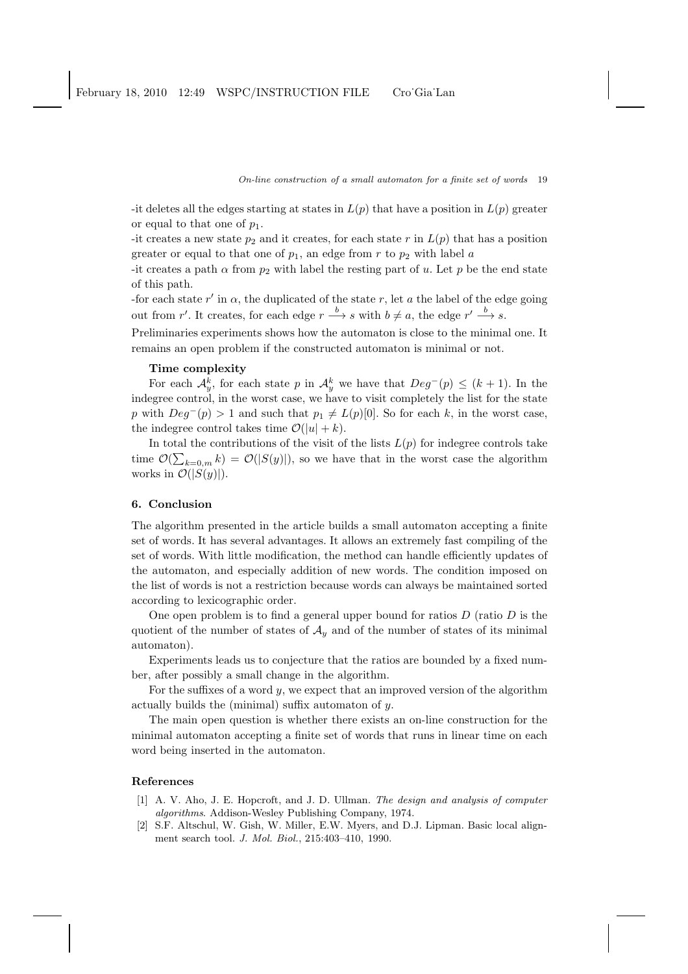-it deletes all the edges starting at states in  $L(p)$  that have a position in  $L(p)$  greater or equal to that one of  $p_1$ .

-it creates a new state  $p_2$  and it creates, for each state r in  $L(p)$  that has a position greater or equal to that one of  $p_1$ , an edge from r to  $p_2$  with label a

-it creates a path  $\alpha$  from  $p_2$  with label the resting part of u. Let p be the end state of this path.

-for each state  $r'$  in  $\alpha$ , the duplicated of the state r, let a the label of the edge going out from r'. It creates, for each edge  $r \xrightarrow{b} s$  with  $b \neq a$ , the edge  $r' \xrightarrow{b} s$ .

Preliminaries experiments shows how the automaton is close to the minimal one. It remains an open problem if the constructed automaton is minimal or not.

### Time complexity

For each  $\mathcal{A}_{y}^{k}$ , for each state p in  $\mathcal{A}_{y}^{k}$  we have that  $Deg^{-}(p) \leq (k+1)$ . In the indegree control, in the worst case, we have to visit completely the list for the state p with  $Deg^{-}(p) > 1$  and such that  $p_1 \neq L(p)[0]$ . So for each k, in the worst case, the indegree control takes time  $\mathcal{O}(|u| + k)$ .

In total the contributions of the visit of the lists  $L(p)$  for indegree controls take time  $\mathcal{O}(\sum_{k=0,m} k) = \mathcal{O}(|S(y)|)$ , so we have that in the worst case the algorithm works in  $\mathcal{O}(|S(y)|)$ .

# 6. Conclusion

The algorithm presented in the article builds a small automaton accepting a finite set of words. It has several advantages. It allows an extremely fast compiling of the set of words. With little modification, the method can handle efficiently updates of the automaton, and especially addition of new words. The condition imposed on the list of words is not a restriction because words can always be maintained sorted according to lexicographic order.

One open problem is to find a general upper bound for ratios  $D$  (ratio  $D$  is the quotient of the number of states of  $\mathcal{A}_y$  and of the number of states of its minimal automaton).

Experiments leads us to conjecture that the ratios are bounded by a fixed number, after possibly a small change in the algorithm.

For the suffixes of a word  $y$ , we expect that an improved version of the algorithm actually builds the (minimal) suffix automaton of y.

The main open question is whether there exists an on-line construction for the minimal automaton accepting a finite set of words that runs in linear time on each word being inserted in the automaton.

#### References

- [1] A. V. Aho, J. E. Hopcroft, and J. D. Ullman. *The design and analysis of computer algorithms*. Addison-Wesley Publishing Company, 1974.
- [2] S.F. Altschul, W. Gish, W. Miller, E.W. Myers, and D.J. Lipman. Basic local alignment search tool. *J. Mol. Biol.*, 215:403–410, 1990.